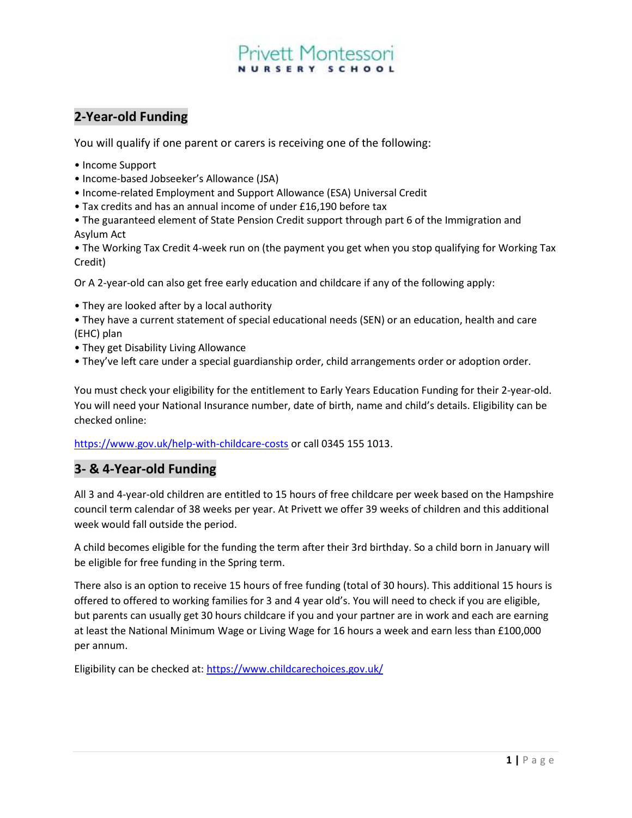# ett Montessor

## 2-Year-old Funding

You will qualify if one parent or carers is receiving one of the following:

- Income Support
- Income-based Jobseeker's Allowance (JSA)
- Income-related Employment and Support Allowance (ESA) Universal Credit
- Tax credits and has an annual income of under £16,190 before tax
- The guaranteed element of State Pension Credit support through part 6 of the Immigration and Asylum Act

• The Working Tax Credit 4-week run on (the payment you get when you stop qualifying for Working Tax Credit)

Or A 2-year-old can also get free early education and childcare if any of the following apply:

• They are looked after by a local authority

• They have a current statement of special educational needs (SEN) or an education, health and care (EHC) plan

- They get Disability Living Allowance
- They've left care under a special guardianship order, child arrangements order or adoption order.

You must check your eligibility for the entitlement to Early Years Education Funding for their 2-year-old. You will need your National Insurance number, date of birth, name and child's details. Eligibility can be checked online:

https://www.gov.uk/help-with-childcare-costs or call 0345 155 1013.

### 3- & 4-Year-old Funding

All 3 and 4-year-old children are entitled to 15 hours of free childcare per week based on the Hampshire council term calendar of 38 weeks per year. At Privett we offer 39 weeks of children and this additional week would fall outside the period.

A child becomes eligible for the funding the term after their 3rd birthday. So a child born in January will be eligible for free funding in the Spring term.

There also is an option to receive 15 hours of free funding (total of 30 hours). This additional 15 hours is offered to offered to working families for 3 and 4 year old's. You will need to check if you are eligible, but parents can usually get 30 hours childcare if you and your partner are in work and each are earning at least the National Minimum Wage or Living Wage for 16 hours a week and earn less than £100,000 per annum.

Eligibility can be checked at: https://www.childcarechoices.gov.uk/